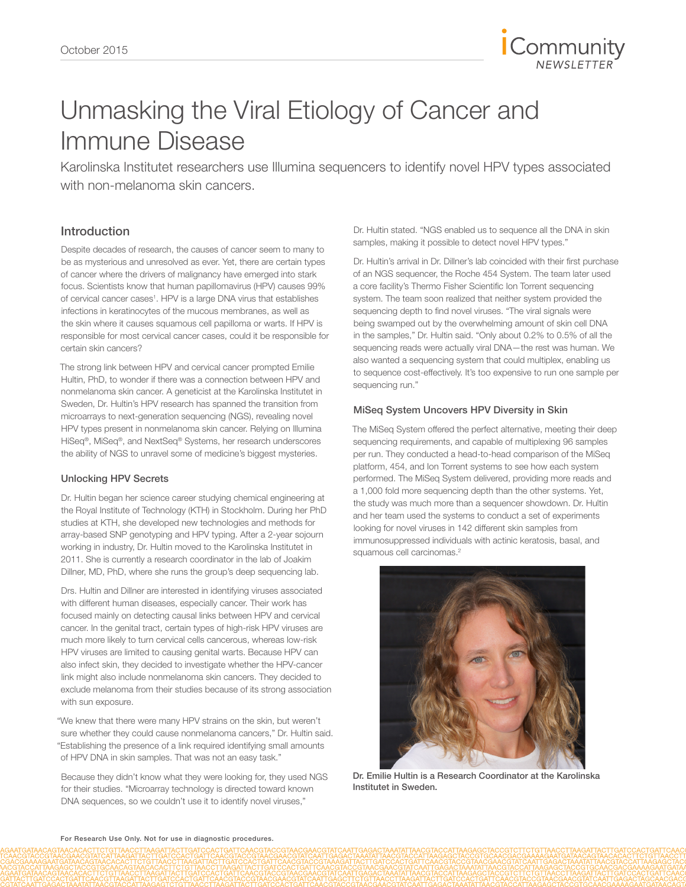

# Unmasking the Viral Etiology of Cancer and Immune Disease

Karolinska Institutet researchers use Illumina sequencers to identify novel HPV types associated with non-melanoma skin cancers.

### Introduction

Despite decades of research, the causes of cancer seem to many to be as mysterious and unresolved as ever. Yet, there are certain types of cancer where the drivers of malignancy have emerged into stark focus. Scientists know that human papillomavirus (HPV) causes 99% of cervical cancer cases<sup>1</sup>. HPV is a large DNA virus that establishes infections in keratinocytes of the mucous membranes, as well as the skin where it causes squamous cell papilloma or warts. If HPV is responsible for most cervical cancer cases, could it be responsible for certain skin cancers?

The strong link between HPV and cervical cancer prompted Emilie Hultin, PhD, to wonder if there was a connection between HPV and nonmelanoma skin cancer. A geneticist at the Karolinska Institutet in Sweden, Dr. Hultin's HPV research has spanned the transition from microarrays to next-generation sequencing (NGS), revealing novel HPV types present in nonmelanoma skin cancer. Relying on Illumina HiSeq®, MiSeq®, and NextSeq® Systems, her research underscores the ability of NGS to unravel some of medicine's biggest mysteries.

#### Unlocking HPV Secrets

Dr. Hultin began her science career studying chemical engineering at the Royal Institute of Technology (KTH) in Stockholm. During her PhD studies at KTH, she developed new technologies and methods for array-based SNP genotyping and HPV typing. After a 2-year sojourn working in industry, Dr. Hultin moved to the Karolinska Institutet in 2011. She is currently a research coordinator in the lab of Joakim Dillner, MD, PhD, where she runs the group's deep sequencing lab.

Drs. Hultin and Dillner are interested in identifying viruses associated with different human diseases, especially cancer. Their work has focused mainly on detecting causal links between HPV and cervical cancer. In the genital tract, certain types of high-risk HPV viruses are much more likely to turn cervical cells cancerous, whereas low-risk HPV viruses are limited to causing genital warts. Because HPV can also infect skin, they decided to investigate whether the HPV-cancer link might also include nonmelanoma skin cancers. They decided to exclude melanoma from their studies because of its strong association with sun exposure.

"We knew that there were many HPV strains on the skin, but weren't sure whether they could cause nonmelanoma cancers," Dr. Hultin said. "Establishing the presence of a link required identifying small amounts of HPV DNA in skin samples. That was not an easy task."

Because they didn't know what they were looking for, they used NGS for their studies. "Microarray technology is directed toward known DNA sequences, so we couldn't use it to identify novel viruses,"

Dr. Hultin stated. "NGS enabled us to sequence all the DNA in skin samples, making it possible to detect novel HPV types."

Dr. Hultin's arrival in Dr. Dillner's lab coincided with their first purchase of an NGS sequencer, the Roche 454 System. The team later used a core facility's Thermo Fisher Scientific Ion Torrent sequencing system. The team soon realized that neither system provided the sequencing depth to find novel viruses. "The viral signals were being swamped out by the overwhelming amount of skin cell DNA in the samples," Dr. Hultin said. "Only about 0.2% to 0.5% of all the sequencing reads were actually viral DNA—the rest was human. We also wanted a sequencing system that could multiplex, enabling us to sequence cost-effectively. It's too expensive to run one sample per sequencing run."

#### MiSeq System Uncovers HPV Diversity in Skin

The MiSeq System offered the perfect alternative, meeting their deep sequencing requirements, and capable of multiplexing 96 samples per run. They conducted a head-to-head comparison of the MiSeq platform, 454, and Ion Torrent systems to see how each system performed. The MiSeq System delivered, providing more reads and a 1,000 fold more sequencing depth than the other systems. Yet, the study was much more than a sequencer showdown. Dr. Hultin and her team used the systems to conduct a set of experiments looking for novel viruses in 142 different skin samples from immunosuppressed individuals with actinic keratosis, basal, and squamous cell carcinomas.<sup>2</sup>



Dr. Emilie Hultin is a Research Coordinator at the Karolinska Institutet in Sweden.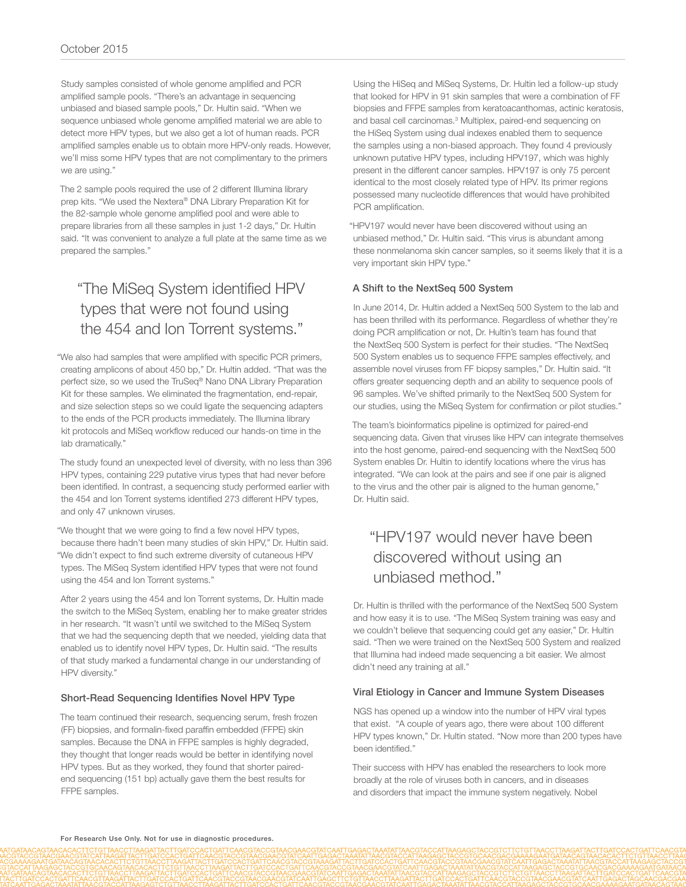Study samples consisted of whole genome amplified and PCR amplified sample pools. "There's an advantage in sequencing unbiased and biased sample pools," Dr. Hultin said. "When we sequence unbiased whole genome amplified material we are able to detect more HPV types, but we also get a lot of human reads. PCR amplified samples enable us to obtain more HPV-only reads. However, we'll miss some HPV types that are not complimentary to the primers we are using."

The 2 sample pools required the use of 2 different Illumina library prep kits. "We used the Nextera® DNA Library Preparation Kit for the 82-sample whole genome amplified pool and were able to prepare libraries from all these samples in just 1-2 days," Dr. Hultin said. "It was convenient to analyze a full plate at the same time as we prepared the samples."

## "The MiSeq System identified HPV types that were not found using the 454 and Ion Torrent systems."

"We also had samples that were amplified with specific PCR primers, creating amplicons of about 450 bp," Dr. Hultin added. "That was the perfect size, so we used the TruSeq® Nano DNA Library Preparation Kit for these samples. We eliminated the fragmentation, end-repair, and size selection steps so we could ligate the sequencing adapters to the ends of the PCR products immediately. The Illumina library kit protocols and MiSeq workflow reduced our hands-on time in the lab dramatically."

The study found an unexpected level of diversity, with no less than 396 HPV types, containing 229 putative virus types that had never before been identified. In contrast, a sequencing study performed earlier with the 454 and Ion Torrent systems identified 273 different HPV types, and only 47 unknown viruses.

"We thought that we were going to find a few novel HPV types, because there hadn't been many studies of skin HPV," Dr. Hultin said. "We didn't expect to find such extreme diversity of cutaneous HPV types. The MiSeq System identified HPV types that were not found using the 454 and Ion Torrent systems."

After 2 years using the 454 and Ion Torrent systems, Dr. Hultin made the switch to the MiSeq System, enabling her to make greater strides in her research. "It wasn't until we switched to the MiSeq System that we had the sequencing depth that we needed, yielding data that enabled us to identify novel HPV types, Dr. Hultin said. "The results of that study marked a fundamental change in our understanding of HPV diversity."

#### Short-Read Sequencing Identifies Novel HPV Type

The team continued their research, sequencing serum, fresh frozen (FF) biopsies, and formalin-fixed paraffin embedded (FFPE) skin samples. Because the DNA in FFPE samples is highly degraded, they thought that longer reads would be better in identifying novel HPV types. But as they worked, they found that shorter pairedend sequencing (151 bp) actually gave them the best results for FFPE samples.

Using the HiSeq and MiSeq Systems, Dr. Hultin led a follow-up study that looked for HPV in 91 skin samples that were a combination of FF biopsies and FFPE samples from keratoacanthomas, actinic keratosis, and basal cell carcinomas.<sup>3</sup> Multiplex, paired-end sequencing on the HiSeq System using dual indexes enabled them to sequence the samples using a non-biased approach. They found 4 previously unknown putative HPV types, including HPV197, which was highly present in the different cancer samples. HPV197 is only 75 percent identical to the most closely related type of HPV. Its primer regions possessed many nucleotide differences that would have prohibited PCR amplification.

"HPV197 would never have been discovered without using an unbiased method," Dr. Hultin said. "This virus is abundant among these nonmelanoma skin cancer samples, so it seems likely that it is a very important skin HPV type."

#### A Shift to the NextSeq 500 System

In June 2014, Dr. Hultin added a NextSeq 500 System to the lab and has been thrilled with its performance. Regardless of whether they're doing PCR amplification or not, Dr. Hultin's team has found that the NextSeq 500 System is perfect for their studies. "The NextSeq 500 System enables us to sequence FFPE samples effectively, and assemble novel viruses from FF biopsy samples," Dr. Hultin said. "It offers greater sequencing depth and an ability to sequence pools of 96 samples. We've shifted primarily to the NextSeq 500 System for our studies, using the MiSeq System for confirmation or pilot studies."

The team's bioinformatics pipeline is optimized for paired-end sequencing data. Given that viruses like HPV can integrate themselves into the host genome, paired-end sequencing with the NextSeq 500 System enables Dr. Hultin to identify locations where the virus has integrated. "We can look at the pairs and see if one pair is aligned to the virus and the other pair is aligned to the human genome," Dr. Hultin said.

## "HPV197 would never have been discovered without using an unbiased method."

Dr. Hultin is thrilled with the performance of the NextSeq 500 System and how easy it is to use. "The MiSeq System training was easy and we couldn't believe that sequencing could get any easier," Dr. Hultin said. "Then we were trained on the NextSeq 500 System and realized that Illumina had indeed made sequencing a bit easier. We almost didn't need any training at all."

#### Viral Etiology in Cancer and Immune System Diseases

NGS has opened up a window into the number of HPV viral types that exist. "A couple of years ago, there were about 100 different HPV types known," Dr. Hultin stated. "Now more than 200 types have been identified."

Their success with HPV has enabled the researchers to look more broadly at the role of viruses both in cancers, and in diseases and disorders that impact the immune system negatively. Nobel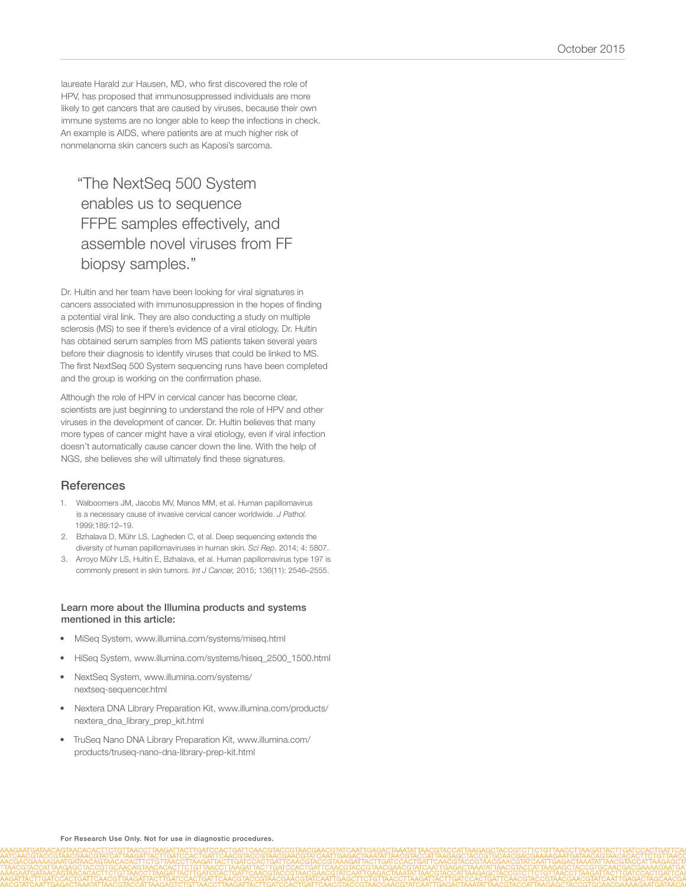laureate Harald zur Hausen, MD, who first discovered the role of HPV, has proposed that immunosuppressed individuals are more likely to get cancers that are caused by viruses, because their own immune systems are no longer able to keep the infections in check. An example is AIDS, where patients are at much higher risk of nonmelanoma skin cancers such as Kaposi's sarcoma.

"The NextSeq 500 System enables us to sequence FFPE samples effectively, and assemble novel viruses from FF biopsy samples."

Dr. Hultin and her team have been looking for viral signatures in cancers associated with immunosuppression in the hopes of finding a potential viral link. They are also conducting a study on multiple sclerosis (MS) to see if there's evidence of a viral etiology. Dr. Hultin has obtained serum samples from MS patients taken several years before their diagnosis to identify viruses that could be linked to MS. The first NextSeq 500 System sequencing runs have been completed and the group is working on the confirmation phase.

Although the role of HPV in cervical cancer has become clear, scientists are just beginning to understand the role of HPV and other viruses in the development of cancer. Dr. Hultin believes that many more types of cancer might have a viral etiology, even if viral infection doesn't automatically cause cancer down the line. With the help of NGS, she believes she will ultimately find these signatures.

#### **References**

- 1. [Walboomers JM, Jacobs MV, Manos MM, et al. Human papillomavirus](http://www.ncbi.nlm.nih.gov/pubmed/10451482)  [is a necessary cause of invasive cervical cancer worldwide.](http://www.ncbi.nlm.nih.gov/pubmed/10451482) *J Pathol.* [1999;189:12–19.](http://www.ncbi.nlm.nih.gov/pubmed/10451482)
- 2. [Bzhalava D, Mühr LS, Lagheden C, et al. Deep sequencing extends the](http://www.ncbi.nlm.nih.gov/pubmed/25055967)  [diversity of human papillomaviruses in human skin.](http://www.ncbi.nlm.nih.gov/pubmed/25055967) *Sci Rep*. 2014; 4: 5807.
- 3. [Arroyo Mühr LS, Hultin E, Bzhalava, et al. Human papillomavirus type 197 is](http://www.ncbi.nlm.nih.gov/pubmed/25388227)  [commonly present in skin tumors.](http://www.ncbi.nlm.nih.gov/pubmed/25388227) *Int J Cancer,* 2015; 136(11): 2546–2555.

#### Learn more about the Illumina products and systems mentioned in this article:

- [MiSeq System, www.illumina.com/systems/miseq.html](http://www.illumina.com/systems/miseq.html)
- [HiSeq System, www.illumina.com/systems/hiseq\\_2500\\_1500.html](http://www.illumina.com/systems/hiseq_2500_1500.html)
- [NextSeq System, www.illumina.com/systems/](http://www.illumina.com/systems/nextseq-sequencer.html) [nextseq-sequencer.html](http://www.illumina.com/systems/nextseq-sequencer.html)
- [Nextera DNA Library Preparation Kit, www.illumina.com/products/](http://www.illumina.com/products/nextera_dna_library_prep_kit.html) [nextera\\_dna\\_library\\_prep\\_kit.html](http://www.illumina.com/products/nextera_dna_library_prep_kit.html)
- [TruSeq Nano DNA Library Preparation Kit, www.illumina.com/](http://www.illumina.com/products/truseq-nano-dna-library-prep-kit.html) [products/truseq-nano-dna-library-prep-kit.html](http://www.illumina.com/products/truseq-nano-dna-library-prep-kit.html)